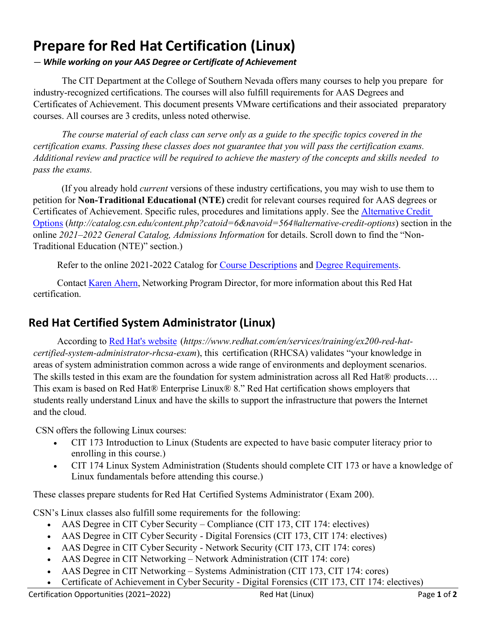## **Prepare for Red Hat Certification (Linux)**

## *— While working on your AAS Degree or Certificate of Achievement*

The CIT Department at the College of Southern Nevada offers many courses to help you prepare for industry-recognized certifications. The courses will also fulfill requirements for AAS Degrees and Certificates of Achievement. This document presents VMware certifications and their associated preparatory courses. All courses are 3 credits, unless noted otherwise.

*The course material of each class can serve only as a guide to the specific topics covered in the certification exams. Passing these classes does not guarantee that you will pass the certification exams.* Additional review and practice will be required to achieve the mastery of the concepts and skills needed to *pass the exams.*

(If you already hold *current* versions of these industry certifications, you may wish to use them to petition for **Non-Traditional Educational (NTE)** credit for relevant courses required for AAS degrees or Certificates of Achievement. Specific rules, procedures and limitations apply. See the [Alternative Credit](http://catalog.csn.edu/content.php?catoid=6&navoid=564#alternative-credit-options)  [Options](http://catalog.csn.edu/content.php?catoid=6&navoid=564#alternative-credit-options) (*http://catalog.csn.edu/content.php?catoid=6&navoid=564#alternative-credit-options*) section in the online *2021–2022 General Catalog, Admissions Information* for details. Scroll down to find the "Non-Traditional Education (NTE)" section.)

Refer to the online 2021-2022 Catalog for [Course Descriptions](http://catalog.csn.edu/content.php?catoid=6&navoid=571) and [Degree Requirements.](http://catalog.csn.edu/content.php?catoid=6&navoid=594)

Contact [Karen Ahern,](https://www.csn.edu/directory/karen-ahern) Networking Program Director, for more information about this Red Hat certification.

## **Red Hat Certified System Administrator (Linux)**

According to [Red Hat's website](https://www.vmware.com/education-services/certification/vcp-dcv.html) (*https://www.redhat.com/en/services/training/ex200-red-hatcertified-system-administrator-rhcsa-exam*), this certification (RHCSA) validates "your knowledge in areas of system administration common across a wide range of environments and deployment scenarios. The skills tested in this exam are the foundation for system administration across all Red Hat® products.... This exam is based on Red Hat® Enterprise Linux® 8." Red Hat certification shows employers that students really understand Linux and have the skills to support the infrastructure that powers the Internet and the cloud.

CSN offers the following Linux courses:

- CIT 173 Introduction to Linux (Students are expected to have basic computer literacy prior to enrolling in this course.)
- CIT 174 Linux System Administration (Students should complete CIT 173 or have a knowledge of Linux fundamentals before attending this course.)

These classes prepare students for Red Hat Certified Systems Administrator (Exam 200).

CSN's Linux classes also fulfill some requirements for the following:

- AAS Degree in CIT Cyber Security Compliance (CIT 173, CIT 174: electives)
- AAS Degree in CIT Cyber Security Digital Forensics (CIT 173, CIT 174: electives)
- AAS Degree in CIT Cyber Security Network Security (CIT 173, CIT 174: cores)
- AAS Degree in CIT Networking Network Administration (CIT 174: core)
- AAS Degree in CIT Networking Systems Administration (CIT 173, CIT 174: cores)
- Certificate of Achievement in Cyber Security Digital Forensics (CIT 173, CIT 174: electives)